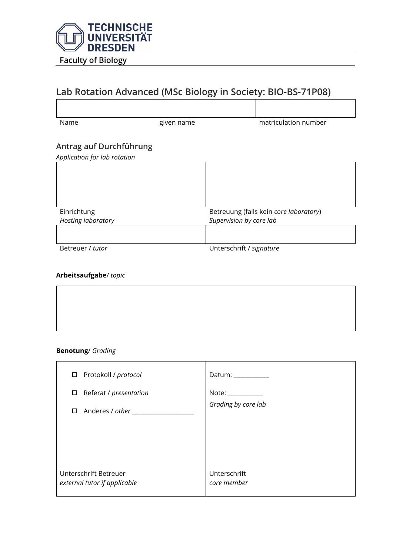

# **Lab Rotation Advanced (MSc Biology in Society: BIO-BS-71P08)**

Name matriculation number given name matriculation number

## **Antrag auf Durchführung**

*Application for lab rotation*

| $\mathbf{r}$       |                                        |  |
|--------------------|----------------------------------------|--|
|                    |                                        |  |
| Einrichtung        | Betreuung (falls kein core laboratory) |  |
| Hosting laboratory | Supervision by core lab                |  |
|                    |                                        |  |
| Betreuer / tutor   | Unterschrift / signature               |  |

### **Arbeitsaufgabe**/ *topic*

#### **Benotung**/ *Grading*

| □ Protokoll / protocol                                | Datum: __________           |
|-------------------------------------------------------|-----------------------------|
| Referat / presentation<br>$\Box$                      | $Note: \_\_$                |
| Anderes / other __________<br>$\Box$                  | Grading by core lab         |
| Unterschrift Betreuer<br>external tutor if applicable | Unterschrift<br>core member |